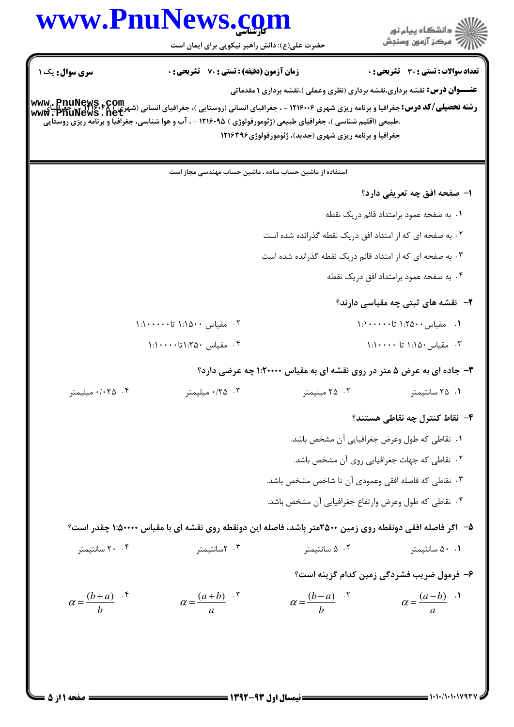## www.PnuNews.com ار<br>اگر دانشگاه پیام نور<br>اگر مرکز آزمون وسنجش حضرت علی(ع): دانش راهبر نیکویی برای ایمان است **تعداد سوالات : تستی : 30 ٪ تشریحی : 0 سری سوال :** یک ۱ **زمان آزمون (دقیقه) : تستی : 70 گشریحی: 0 عنـــوان درس:** نقشه برداري،نقشه برداري (نظري وعملي )،نقشه برداري ۱ مقدماتي **رشته تحصیلی/کد درس:** جغرافیا و برنامه ریزی شهری ۱۲۱۶۰۰۶ - ، جغرافیای انسانی (روستایی )، جغرافیای انسانی (شهری) www. PnuNews<br>و**شته تحصیلی/کد درس:** جغرافیا و برنامه ریزی شهری ۱۲۱۶۰۰۶ - ، جغرافیای انسانی (روستایی )، جغرافیا ،طبیعی (اقلیم شناسی )، جغرافیای طبیعی (ژئومورفولوژی ) ۱۲۱۶۰۹۵ - ، آب و هوا شناسی، جغرافیا و برنامه ریزی روستایی جغرافیا و برنامه ریزی شهری (جدید)، ژئومورفولوژی ۱۲۱۶۳۹۶ استفاده از ماشین حساب ساده ، ماشین حساب مهندسی مجاز است ۱– صفحه افق چه تعریفی دارد؟ ٠١. به صفحه عمود برامتداد قائم دريک نقطه ۲ . به صفحه ای که از امتداد افق دریک نقطه گذرانده شده است ۰۳ به صفحه ای که از امتداد قائم دریک نقطه گذرانده شده است ۰۴ به صفحه عمود برامتداد افق دریک نقطه **۲**- نقشه های ثبتی چه مقیاسی دارند؟ ۰۲ مقیاس ۱:۱۵۰۰ تا۱۰۰۰۰۰:۱ ١. مقىاس ١:٢٥٠٠ تا١٠٠٠٠٠:١ ۰۴ مقىاس ٢۵٠: ١: ١٠٠ ۰۳ مقیاس ۱:۱۵۰ تا ۱۰۰۰۰۰ ۳- جاده ای به عرض ۵ متر در روی نقشه ای به مقیاس ۱:۲۰۰۰۰ چه عرضی دارد؟ ۰/۰۲۵ میلیمتر ۰، ۰/۲۵ میلیمتر ۰۲ میلیمتر ۰۱ ۲۵ سانتیمتر ۴– نقاط کنترل چه نقاطی هستند؟ ٠١. نقاطي كه طول وعرض جغرافيايي آن مشخص باشد. ۰۲ نقاطی که جهات جغرافیایی روی آن مشخص باشد. ۰۳ نقاطی که فاصله افقی وعمودی آن تا شاخص مشخص باشد. ۰۴ نقاطی که طول وعرض وارتفاع جغرافیایی آن مشخص باشد. ۵– اگر فاصله افقی دونقطه روی زمین ۲۵۰۰متر باشد، فاصله این دونقطه روی نقشه ای با مقیاس ۱:۵۰۰۰۰ چقدر است؟ ۲۰ ۲۰ سانتىمتى ۰.۱ ۵۰ سانتیمتر ۰۳ سانتىمتى ۰۲ ۵ سانتىمتى ۶– فرمول ضریب فشردگی زمین کدام گزینه است؟  $\alpha = \frac{(a+b)}{a}$  .  $\alpha = \frac{(b+a)}{b}$  .  $\alpha = \frac{(b-a)}{b}$  .<sup>7</sup>  $\alpha = \frac{(a-b)}{a}$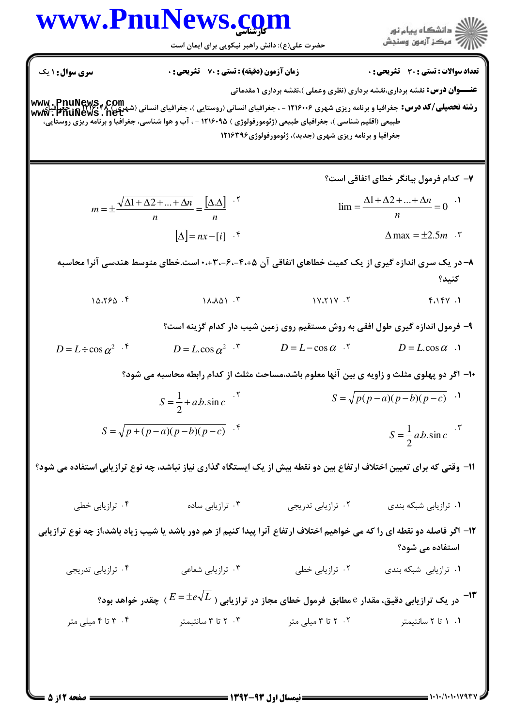## www.PnuNews.com

حضرت علی(ع): دانش راهبر نیکویی برای ایمان است

**زمان آزمون (دقیقه) : تستی : 70 گشریحی : 0** 

**سری سوال : ۱ یک** 

**تعداد سوالات : تستي : 30 - تشريحي : 0** 

**عنـــوان درس:** نقشه برداری،نقشه برداری (نظری وعملی )،نقشه برداری ۱ مقدماتی

**رشته تحصیلی/کد درس:** جغرافیا و برنامه ریزی شهری ۱۲۱۶۰۰۶ - ، جغرافیای انسانی (روستایی )، جغرافیای انسانی (شهری )<br>**MWW . PhuNews . net**<br>WWW . PhuNews . net طبیعی (اقلیم شناسی )، جغرافیای طبیعی (ژئومورفولوژی ) ۹۵+۱۲۱۶ - ، آب و هوا شناسی، جغرافیا و برنامه ریزی روستایی، جغرافیا و برنامه ریزی شهری (جدید)، ژئومورفولوژی ۱۲۱۶۳۹۶

> ۷– کدام فرمول بیانگر خطای اتفاقی است؟  $m = \pm \frac{\sqrt{\Delta 1 + \Delta 2 + \dots + \Delta n}}{n} = \frac{[\Delta \Delta]}{n}$  $\lim_{n \to \infty} \frac{\Delta 1 + \Delta 2 + ... + \Delta n}{n} = 0$  $[\Delta] = nx - [i]$  .  $\Delta$  max =  $\pm 2.5m$ .

۸– در یک سری اندازه گیری از یک کمیت خطاهای اتفاقی آن ۴،۰۵–۶۰–۳۰-۰۳، است.خطای متوسط هندسی آنرا محاسبه كنىد؟

- $10.790$ .  $11.101.7$  $1Y_1Y_1Y$ .  $f \wedge f \vee \wedge f$ 
	- ۹- فرمول اندازه گیری طول افقی به روش مستقیم روی زمین شیب دار کدام گزینه است؟
- $D = L \cos \alpha$ .  $D = L \cos \alpha$ .  $D = L \div \cos \alpha^2$  .  $D = L \cos \alpha^2$ .

۱۰– اگر دو پهلوی مثلث و زاویه ی بین آنها معلوم باشد،مساحت مثلث از کدام رابطه محاسبه می شود؟

 $S = \sqrt{p(p-a)(p-b)(p-c)}$ .  $S = \frac{1}{2} + a.b.\sin c$ <sup>5</sup>  $S = \sqrt{p + (p - a)(p - b)(p - c)}$ .  $S = \frac{1}{2} a.b.\sin c$ <sup>.\*</sup>

11- وقتی که برای تعیین اختلاف ارتفاع بین دو نقطه بیش از یک ایستگاه گذاری نیاز نباشد، چه نوع ترازیابی استفاده می شود؟

۰۴ ترازیایی خطی ۰۳ ترازیابی ساده ۰۲ ترازیابی تدری*ج*ی ۰۱ ترازیایی شبکه بندی

۱۲- اگر فاصله دو نقطه ای را که می خواهیم اختلاف ارتفاع آنرا پیدا کنیم از هم دور باشد یا شیب زیاد باشد،از چه نوع ترازیابی استفاده می شود؟

۰۲ ترازیابی خطی ۰۴ ترازیابی تدریجی ۰۳ ترازیابی شعاعی **۰۱** ترازیابی شبکه بندی

در یک ترازیابی دقیق، مقدار e مطابق فرمول خطای مجاز در ترازیابی (  $E$ = $\pm e$  ) چقدر خواهد بود؟  $^{-1}$ 

۰۴ تا ۴ میلی متر ۰۲ تا ۳ میلی متر ۰۳ تا ۳ سانتیمتر ۰۱ ۱ تا ۲ سانتیمتر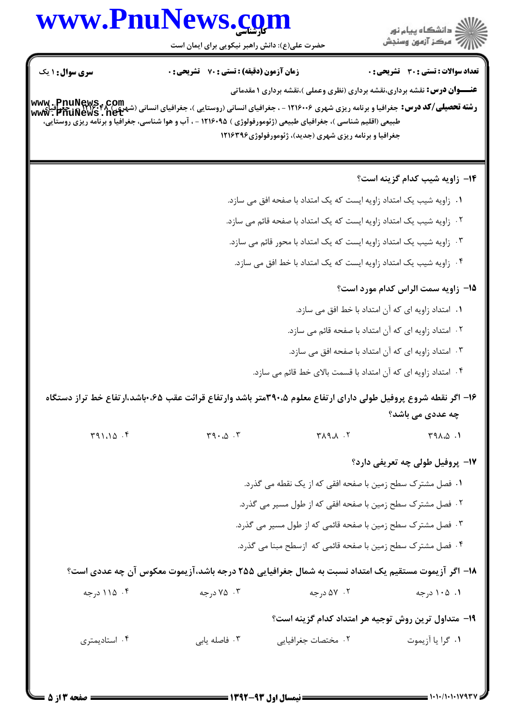## www.PnuNews.com

حضرت علی(ع): دانش راهبر نیکویی برای ایمان است

.<br>گ دانشگاه پیام نور أأزأت مركز آزمون وسنجش

**سری سوال :** ۱ یک **زمان آزمون (دقیقه) : تستی : 70 گشریحی: 0** تعداد سوالات : تستى : 30 - تشريحي : 0 **عنـــوان درس:** نقشه برداري،نقشه برداري (نظري وعملي )،نقشه برداري ۱ مقدماتي **رشته تحصیلی/کد درس:** جغرافیا و برنامه ریزی شهری ۱۲۱۶۰۰۶ - ، جغرافیای انسانی (روستایی )، جغرافیای انسانی (شهری )<br>**MWW . PhuNews . net**<br>WWW . PhuNews . net طبیعی (اقلیم شناسی )، جغرافیای طبیعی (ژئومورفولوژی ) ۹۵+۱۲۱۶ - ، آب و هوا شناسی، جغرافیاً و برنامه ریزی روستایی، جغرافیا و برنامه ریزی شهری (جدید)، ژئومورفولوژی ۱۲۱۶۳۹۶ **۱۴**- زاویه شیب کدام گزینه است؟ ۰۱ زاویه شیب یک امتداد زاویه ایست که یک امتداد با صفحه افق می سازد. ٢٠- زاويه شيب يک امتداد زاويه ايست که يک امتداد با صفحه قائم مي سازد. ۰۳ زاویه شیب یک امتداد زاویه ایست که یک امتداد با محور قائم می سازد. ۰۴ زاویه شیب یک امتداد زاویه ایست که یک امتداد با خط افق می سازد. 15- زاویه سمت الراس کدام مورد است؟ ٠١. امتداد زاويه اي كه آن امتداد با خط افق مي سازد. ۰۲ امتداد زاویه ای که آن امتداد با صفحه قائم می سازد. ۰۳ امتداد زاویه ای که آن امتداد با صفحه افق می سازد. ۰۴ امتداد زاویه ای که آن امتداد با قسمت بالای خط قائم می سازد. ۱۶– اگر نقطه شروع پروفیل طولی دارای ارتفاع معلوم ۳۹۰،۵متر باشد وارتفاع قرائت عقب ۶۵، باشد،ارتفاع خط تراز دستگاه چه عددی می باشد؟  $T91.10.5$  $\Upsilon$ 9. $\Delta$ . $\Upsilon$  $Y \wedge Q$  $T9A.0.1$ 17- پروفیل طولی چه تعریفی دارد؟ ٠١. فصل مشترک سطح زمين با صفحه افقي که از يک نقطه مي گذرد. ۲ . فصل مشترک سطح زمین با صفحه افقی که از طول مسیر می گذرد. ۰۳ فصل مشترک سطح زمین با صفحه قائمی که از طول مسیر می گذرد. ۰۴ فصل مشترک سطح زمین با صفحه قائمی که ازسطح مبنا می گذرد. ۱۸− اگر آزیموت مستقیم یک امتداد نسبت به شمال جغرافیایی ۲۵۵ درجه باشد،آزیموت معکوس آن چه عددی است؟ ۰۴ ۱۱۵ د, جه ۰۳ تا ۷۵ درجه ۰۲ ۵۷ د, جه ۰۱ ۱۰۵ درجه ١٩- متداول ترين روش توجيه هر امتداد كدام گزينه است؟ ۰۴ استادیمتری ۰۲ مختصات جغرافیایی ۰۱ گرا یا آزیموت ۰۳ فاصله پاہی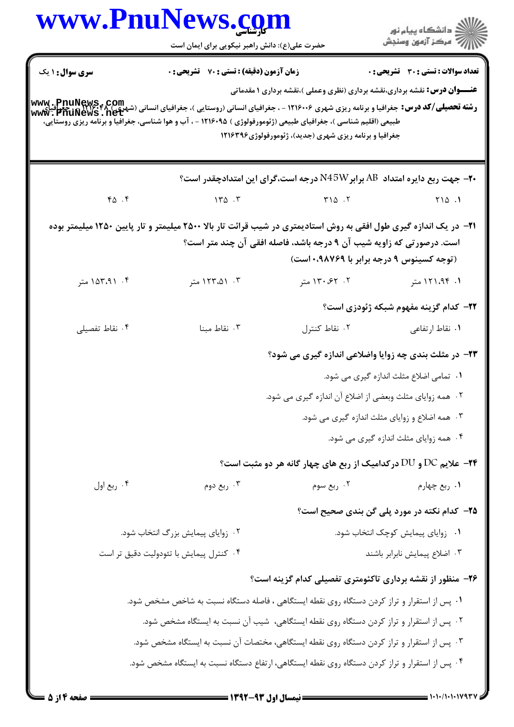|                        | www.PnuNews.com<br>حضرت علی(ع): دانش راهبر نیکویی برای ایمان است                                                                                                                                                                                                                                                                                                                                                    |                                                                                                                                             | ان دانشگاه پيام نور<br>اگر مرکز آزمون وسنجش    |
|------------------------|---------------------------------------------------------------------------------------------------------------------------------------------------------------------------------------------------------------------------------------------------------------------------------------------------------------------------------------------------------------------------------------------------------------------|---------------------------------------------------------------------------------------------------------------------------------------------|------------------------------------------------|
| <b>سری سوال : ۱ یک</b> | <b>زمان آزمون (دقیقه) : تستی : 70 گشریحی : 0</b><br><b>رشته تحصیلی/کد درس: جغرافیا و برنامه ریزی شهری ۱۲۱۶۰۰۶ - ، جغرافیای انسانی (روستایی )، جغرافیای انسانی (شهری )<br/>ر<b>شته تحصیلی/کد درس:</b> جغرافیا و برنامه ریزی شهری ۱۲۱۶۰۰۶ - ، جغرافیای انسانی (روستایی )، جغرافیای انسانی (شهر</b><br>طبیعی (اقلیم شناسی )، جغرافیای طبیعی (ژئومورفولوژی ) ۱۲۱۶۰۹۵ - ، آب و هوا شناسی، جغرافیا و برنامه ریزی روستایی، | <b>عنـــوان درس:</b> نقشه برداری،نقشه برداری (نظری وعملی )،نقشه برداری ۱ مقدماتی<br>جغرافیا و برنامه ریزی شهری (جدید)، ژئومورفولوژی ۱۲۱۶۳۹۶ | تعداد سوالات : تستى : 30 قشريحى : 0            |
|                        |                                                                                                                                                                                                                                                                                                                                                                                                                     | <b>۲۰</b> جهت ربع دایره امتداد AB برابرN45W درجه است،گرای این امتدادچقدر است؟                                                               |                                                |
| 40.5                   | 150.5                                                                                                                                                                                                                                                                                                                                                                                                               | $Y \cap \Delta$ .                                                                                                                           | $\begin{bmatrix} 1 & 0 \\ 0 & 1 \end{bmatrix}$ |
|                        | <b>ا۲</b> – در یک اندازه گیری طول افقی به روش استادیمتری در شیب قرائت تار بالا ۲۵۰۰ میلیمتر و تار پایین ۱۲۵۰ میلیمتر بوده                                                                                                                                                                                                                                                                                           | است. درصورتی که زاویه شیب آن ۹ درجه باشد، فاصله افقی آن چند متر است؟<br>(توجه کسینوس ۹ درجه برابر با ۰٬۹۸۷۶۹ است)                           |                                                |
| ۰۴ ۱۵۳،۹۱ متر          | ۰۳ . ۱۲۳،۵۱ متر                                                                                                                                                                                                                                                                                                                                                                                                     | ۲. ۶۲، ۱۳۰، متر                                                                                                                             | ۱. ۱۲۱،۹۴ متر                                  |
|                        |                                                                                                                                                                                                                                                                                                                                                                                                                     |                                                                                                                                             | <b>۲۲</b> – کدام گزینه مفهوم شبکه ژئودزی است؟  |
| ۰۴ نقاط تفصیلی         | ۰۳ نقاط مبنا                                                                                                                                                                                                                                                                                                                                                                                                        | ۰۲ نقاط کنترل                                                                                                                               | ۰۱ نقاط ارتفا <i>ع</i> ی                       |
|                        |                                                                                                                                                                                                                                                                                                                                                                                                                     | ۲۳- در مثلث بندی چه زوایا واضلاعی اندازه گیری می شود؟                                                                                       |                                                |
|                        |                                                                                                                                                                                                                                                                                                                                                                                                                     |                                                                                                                                             | ۰۱ تمامی اضلاع مثلث اندازه گیری می شود.        |
|                        |                                                                                                                                                                                                                                                                                                                                                                                                                     | ۰۲ همه زوایای مثلث وبعضی از اضلاع آن اندازه گیری می شود.                                                                                    |                                                |
|                        |                                                                                                                                                                                                                                                                                                                                                                                                                     |                                                                                                                                             | ۰۳ همه اضلاع و زوایای مثلث اندازه گیری می شود. |
|                        |                                                                                                                                                                                                                                                                                                                                                                                                                     |                                                                                                                                             | ۰۴ همه زوایای مثلث اندازه گیری می شود.         |
|                        |                                                                                                                                                                                                                                                                                                                                                                                                                     | <b>34- علایم DC و DU درکدامیک از ربع های چهار گانه هر دو مثبت است؟</b>                                                                      |                                                |
| ۰۴ ربع اول             | ۰۳ ربع دوم                                                                                                                                                                                                                                                                                                                                                                                                          | ۰۲ ربع سوم                                                                                                                                  | ۰۱ ربع چهارم                                   |
|                        |                                                                                                                                                                                                                                                                                                                                                                                                                     |                                                                                                                                             | ۲۵– کدام نکته در مورد پلی گن بندی صحیح است؟    |
|                        | ۰۲ زوایای پیمایش بزرگ انتخاب شود.                                                                                                                                                                                                                                                                                                                                                                                   | ۰۱ زوایای پیمایش کوچک انتخاب شود.                                                                                                           |                                                |
|                        | ۰۴ کنترل پیمایش با تئودولیت دقیق تر است                                                                                                                                                                                                                                                                                                                                                                             |                                                                                                                                             | ٠٣ اضلاع پيمايش نابرابر باشند                  |
|                        |                                                                                                                                                                                                                                                                                                                                                                                                                     | ۲۶- منظور از نقشه برداری تاکئومتری تفصیلی کدام گزینه است؟                                                                                   |                                                |
|                        | ۰۱ پس از استقرار و تراز کردن دستگاه روی نقطه ایستگاهی ، فاصله دستگاه نسبت به شاخص مشخص شود.                                                                                                                                                                                                                                                                                                                         |                                                                                                                                             |                                                |
|                        | ۰۲ پس از استقرار و تراز کردن دستگاه روی نقطه ایستگاهی، شیب آن نسبت به ایستگاه مشخص شود.                                                                                                                                                                                                                                                                                                                             |                                                                                                                                             |                                                |
|                        | ۰۳ پس از استقرار و تراز کردن دستگاه روی نقطه ایستگاهی، مختصات آن نسبت به ایستگاه مشخص شود.                                                                                                                                                                                                                                                                                                                          |                                                                                                                                             |                                                |
|                        | ۰۴ پس از استقرار و تراز کردن دستگاه روی نقطه ایستگاهی، ارتفاع دستگاه نسبت به ایستگاه مشخص شود.                                                                                                                                                                                                                                                                                                                      |                                                                                                                                             |                                                |